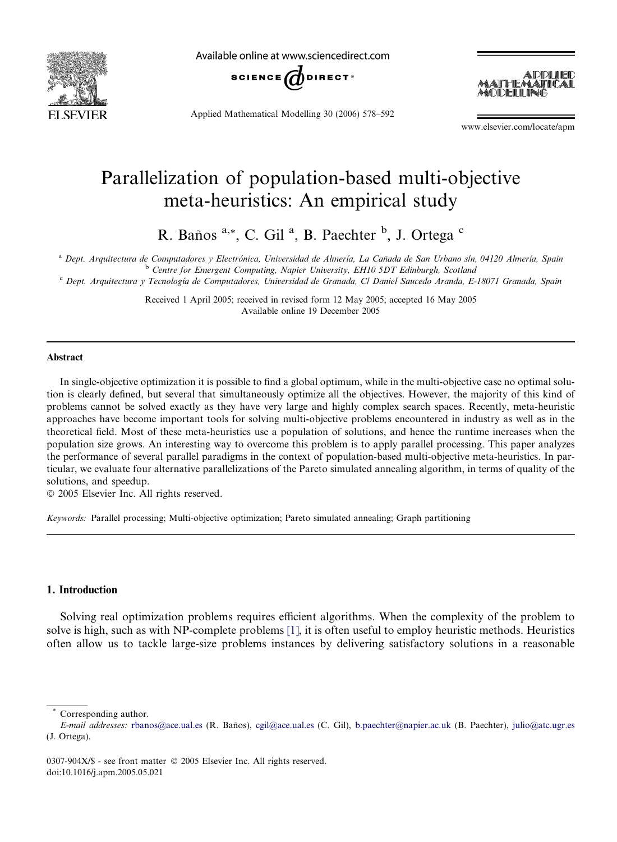

Available online at www.sciencedirect.com



Applied Mathematical Modelling 30 (2006) 578–592



www.elsevier.com/locate/apm

## Parallelization of population-based multi-objective meta-heuristics: An empirical study

R. Baños <sup>a,\*</sup>, C. Gil<sup>a</sup>, B. Paechter <sup>b</sup>, J. Ortega c

a Dept. Arquitectura de Computadores y Electrónica, Universidad de Almería, La Cañada de San Urbano s/n, 04120 Almería, Spain b Centre for Emergent Computing, Napier University, EH10 5DT Edinburgh, Scotland

<sup>c</sup> Dept. Arquitectura y Tecnología de Computadores, Universidad de Granada, C/ Daniel Saucedo Aranda, E-18071 Granada, Spain

Received 1 April 2005; received in revised form 12 May 2005; accepted 16 May 2005 Available online 19 December 2005

#### Abstract

In single-objective optimization it is possible to find a global optimum, while in the multi-objective case no optimal solution is clearly defined, but several that simultaneously optimize all the objectives. However, the majority of this kind of problems cannot be solved exactly as they have very large and highly complex search spaces. Recently, meta-heuristic approaches have become important tools for solving multi-objective problems encountered in industry as well as in the theoretical field. Most of these meta-heuristics use a population of solutions, and hence the runtime increases when the population size grows. An interesting way to overcome this problem is to apply parallel processing. This paper analyzes the performance of several parallel paradigms in the context of population-based multi-objective meta-heuristics. In particular, we evaluate four alternative parallelizations of the Pareto simulated annealing algorithm, in terms of quality of the solutions, and speedup.

 $© 2005 Elsevier Inc. All rights reserved.$ 

Keywords: Parallel processing; Multi-objective optimization; Pareto simulated annealing; Graph partitioning

### 1. Introduction

Solving real optimization problems requires efficient algorithms. When the complexity of the problem to solve is high, such as with NP-complete problems [\[1\],](#page--1-0) it is often useful to employ heuristic methods. Heuristics often allow us to tackle large-size problems instances by delivering satisfactory solutions in a reasonable

Corresponding author.

E-mail addresses: [rbanos@ace.ual.es](mailto:rbanos@ace.ual.es) (R. Baños), [cgil@ace.ual.es](mailto:cgil@ace.ual.es) (C. Gil), [b.paechter@napier.ac.uk](mailto:b.paechter@napier.ac.uk) (B. Paechter), [julio@atc.ugr.es](mailto:julio@atc.ugr.es) (J. Ortega).

<sup>0307-904</sup>X/\$ - see front matter © 2005 Elsevier Inc. All rights reserved. doi:10.1016/j.apm.2005.05.021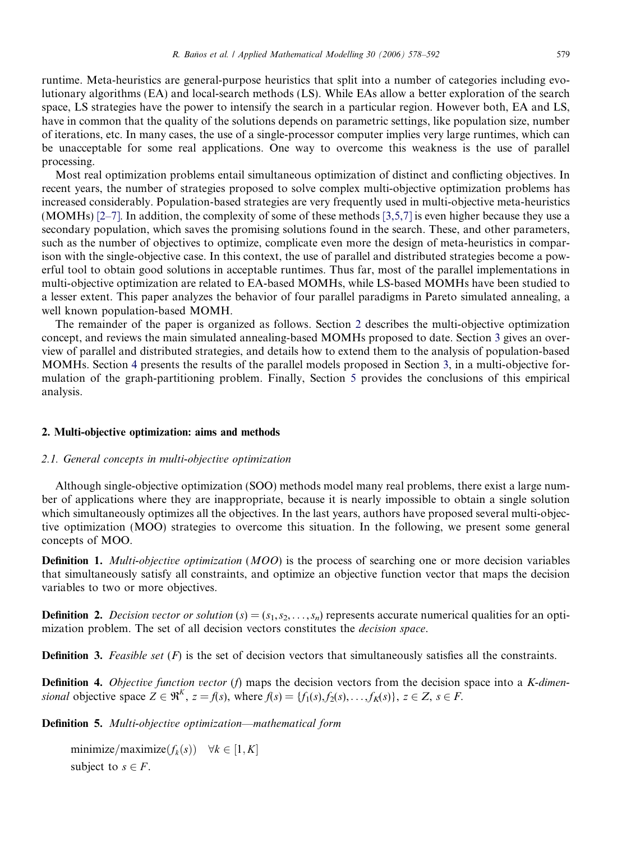runtime. Meta-heuristics are general-purpose heuristics that split into a number of categories including evolutionary algorithms (EA) and local-search methods (LS). While EAs allow a better exploration of the search space, LS strategies have the power to intensify the search in a particular region. However both, EA and LS, have in common that the quality of the solutions depends on parametric settings, like population size, number of iterations, etc. In many cases, the use of a single-processor computer implies very large runtimes, which can be unacceptable for some real applications. One way to overcome this weakness is the use of parallel processing.

Most real optimization problems entail simultaneous optimization of distinct and conflicting objectives. In recent years, the number of strategies proposed to solve complex multi-objective optimization problems has increased considerably. Population-based strategies are very frequently used in multi-objective meta-heuristics (MOMHs) [\[2–7\].](#page--1-0) In addition, the complexity of some of these methods [\[3,5,7\]](#page--1-0) is even higher because they use a secondary population, which saves the promising solutions found in the search. These, and other parameters, such as the number of objectives to optimize, complicate even more the design of meta-heuristics in comparison with the single-objective case. In this context, the use of parallel and distributed strategies become a powerful tool to obtain good solutions in acceptable runtimes. Thus far, most of the parallel implementations in multi-objective optimization are related to EA-based MOMHs, while LS-based MOMHs have been studied to a lesser extent. This paper analyzes the behavior of four parallel paradigms in Pareto simulated annealing, a well known population-based MOMH.

The remainder of the paper is organized as follows. Section 2 describes the multi-objective optimization concept, and reviews the main simulated annealing-based MOMHs proposed to date. Section [3](#page--1-0) gives an overview of parallel and distributed strategies, and details how to extend them to the analysis of population-based MOMHs. Section [4](#page--1-0) presents the results of the parallel models proposed in Section [3](#page--1-0), in a multi-objective formulation of the graph-partitioning problem. Finally, Section [5](#page--1-0) provides the conclusions of this empirical analysis.

#### 2. Multi-objective optimization: aims and methods

#### 2.1. General concepts in multi-objective optimization

Although single-objective optimization (SOO) methods model many real problems, there exist a large number of applications where they are inappropriate, because it is nearly impossible to obtain a single solution which simultaneously optimizes all the objectives. In the last years, authors have proposed several multi-objective optimization (MOO) strategies to overcome this situation. In the following, we present some general concepts of MOO.

**Definition 1.** Multi-objective optimization (MOO) is the process of searching one or more decision variables that simultaneously satisfy all constraints, and optimize an objective function vector that maps the decision variables to two or more objectives.

**Definition 2.** Decision vector or solution  $(s)=(s_1,s_2,\ldots,s_n)$  represents accurate numerical qualities for an optimization problem. The set of all decision vectors constitutes the decision space.

**Definition 3.** Feasible set  $(F)$  is the set of decision vectors that simultaneously satisfies all the constraints.

**Definition 4.** Objective function vector (f) maps the decision vectors from the decision space into a K-dimensional objective space  $Z \in \mathfrak{R}^K$ ,  $z = f(s)$ , where  $f(s) = \{f_1(s), f_2(s), \ldots, f_K(s)\}\,$ ,  $z \in Z$ ,  $s \in F$ .

Definition 5. Multi-objective optimization—mathematical form

```
minimize/maximize(f_k(s)) \quad \forall k \in [1, K]subject to s \in F.
```